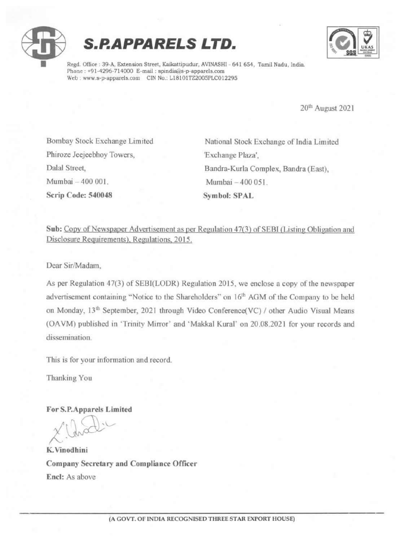





Regd. Office : 39-A, Extension Street, Kaikattipudur, AVINASHI - 641 654, Tamil Nadu, India. Phone: +91-4296-714000 E-mail: spindia@s-p-apparels.com Web: www.s-p-apparels.com CIN No.: L18101TZ2005PLC012295

20" August <sup>2021</sup>

Phiroze Jeejeebhoy Towers, 'Exchange Plaza', Mumbai 400 001. Mumbai -400 051. Scrip Code: 540048 Symbol: SPAL

Bombay Stock Exchange Limited National Stock Exchange of India Limited Dalal Street, Bandra-Kurla Complex, Bandra (East),

Sub: Copy of Newspaper Advertisement as per Regulation 47(3) of SEBI (Listing Obligation and Disclosure Requirements), Regulations, 2015,

Dear Sir/Madam,

As per Regulation 47(3) of SEBI(LODR) Regulation 2015, we enclose a copy of the newspaper advertisement containing "Notice to the Shareholders" on 16" AGM of the Company to be held on Monday, 13<sup>th</sup> September, 2021 through Video Conference(VC) / other Audio Visual Means (OAVM) published in "Trinity Mirror' and \*Makkal Kural" on 20.08.2021 for your records and dissemination.

This is for your information and record.

Thanking You

For S.P.Apparels Limited

 $\bigcup_{i=1}^{n}$ hod !

K. Vinodhini Company Secretary and Compliance Officer Encl: As above